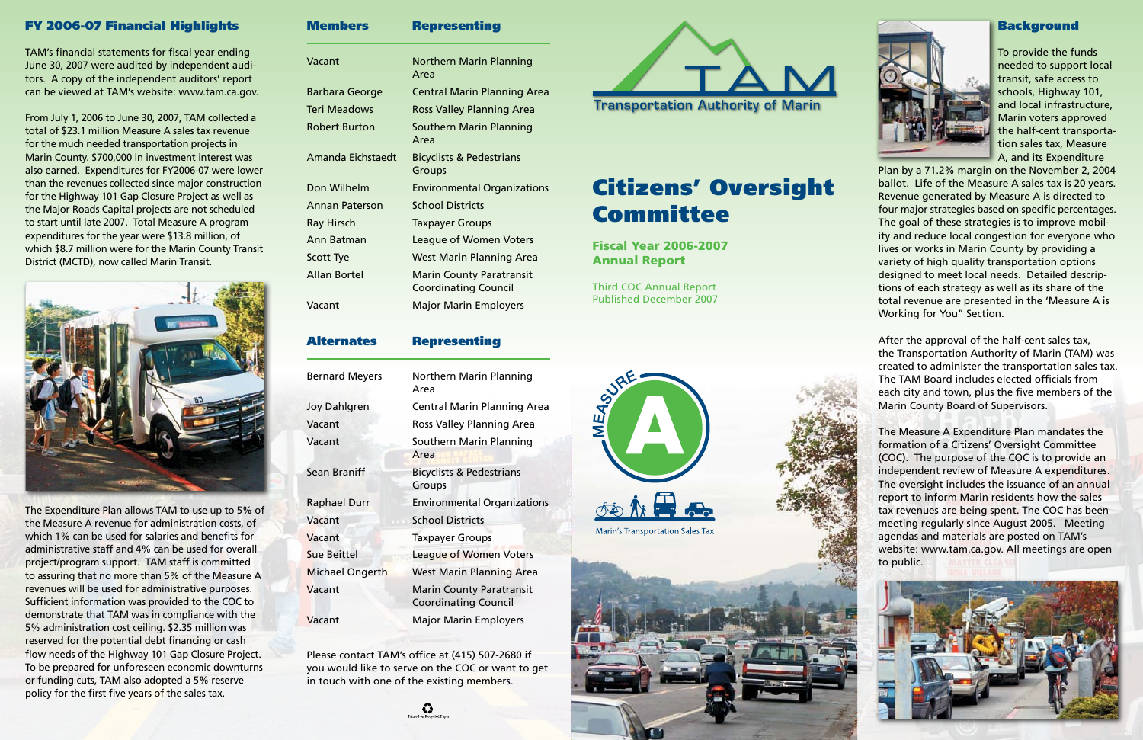Members Representing

| Vacant            | <b>Northern Marin Planning</b><br>Area                         |
|-------------------|----------------------------------------------------------------|
| Barbara George    | <b>Central Marin Planning Area</b>                             |
| Teri Meadows      | <b>Ross Valley Planning Area</b>                               |
| Robert Burton     | Southern Marin Planning<br>Area                                |
| Amanda Eichstaedt | <b>Bicyclists &amp; Pedestrians</b><br>Groups                  |
| Don Wilhelm       | <b>Environmental Organizations</b>                             |
| Annan Paterson    | <b>School Districts</b>                                        |
| Ray Hirsch        | <b>Taxpayer Groups</b>                                         |
| Ann Batman        | <b>League of Women Voters</b>                                  |
| <b>Scott Tye</b>  | <b>West Marin Planning Area</b>                                |
| Allan Bortel      | <b>Marin County Paratransit</b><br><b>Coordinating Council</b> |
| Vacant            | <b>Major Marin Employers</b>                                   |

## Bernard Meyers Northern Marin Planning Area Joy Dahlgren Central Marin Planning Area Vacant Ross Valley Planning Area Vacant Southern Marin Planning Area Sean Braniff Bicyclists & Pedestrians Groups Raphael Durr Environmental Organizations Vacant School Districts **Vacant** Taxpayer Groups **Sue Beittel League of Women Voters Michael Ongerth West Marin Planning Area Vacant** Marin County Paratransit Coordinating Council **Vacant** Major Marin Employers

Alternates Representing

Please contact TAM's office at (415) 507-2680 if you would like to serve on the COC or want to get in touch with one of the existing members.

۞



# Citizens' Oversight Committee

Fiscal Year 2006-2007 Annual Report

Third COC Annual Report Published December 2007





#### Background

To provide the funds needed to support local transit, safe access to schools, Highway 101, and local infrastructure, Marin voters approved the half-cent transportation sales tax, Measure A, and its Expenditure

Plan by a 71.2% margin on the November 2, 2004 ballot. Life of the Measure A sales tax is 20 years. Revenue generated by Measure A is directed to four major strategies based on specific percentages. The goal of these strategies is to improve mobility and reduce local congestion for everyone who lives or works in Marin County by providing a variety of high quality transportation options designed to meet local needs. Detailed descriptions of each strategy as well as its share of the total revenue are presented in the 'Measure A is Working for You" Section.

The Expenditure Plan allows TAM to use up to 5% of the Measure A revenue for administration costs, of which 1% can be used for salaries and benefits for administrative staff and 4% can be used for overall project/program support. TAM staff is committed to assuring that no more than 5% of the Measure A revenues will be used for administrative purposes. Sufficient information was provided to the COC to demonstrate that TAM was in compliance with the 5% administration cost ceiling. \$2.35 million was reserved for the potential debt financing or cash flow needs of the Highway 101 Gap Closure Project. To be prepared for unforeseen economic downturns or funding cuts, TAM also adopted a 5% reserve policy for the first five years of the sales tax.

After the approval of the half-cent sales tax, the Transportation Authority of Marin (TAM) was created to administer the transportation sales tax. The TAM Board includes elected officials from each city and town, plus the five members of the Marin County Board of Supervisors.

The Measure A Expenditure Plan mandates the formation of a Citizens' Oversight Committee (COC). The purpose of the COC is to provide an independent review of Measure A expenditures. The oversight includes the issuance of an annual report to inform Marin residents how the sales tax revenues are being spent. The COC has been meeting regularly since August 2005. Meeting agendas and materials are posted on TAM's website: www.tam.ca.gov. All meetings are open to public.



### FY 2006-07 Financial Highlights

TAM's financial statements for fiscal year ending June 30, 2007 were audited by independent auditors. A copy of the independent auditors' report can be viewed at TAM's website: www.tam.ca.gov.

From July 1, 2006 to June 30, 2007, TAM collected a total of \$23.1 million Measure A sales tax revenue for the much needed transportation projects in Marin County. \$700,000 in investment interest was also earned. Expenditures for FY2006-07 were lower than the revenues collected since major construction for the Highway 101 Gap Closure Project as well as the Major Roads Capital projects are not scheduled to start until late 2007. Total Measure A program expenditures for the year were \$13.8 million, of which \$8.7 million were for the Marin County Transit District (MCTD), now called Marin Transit.